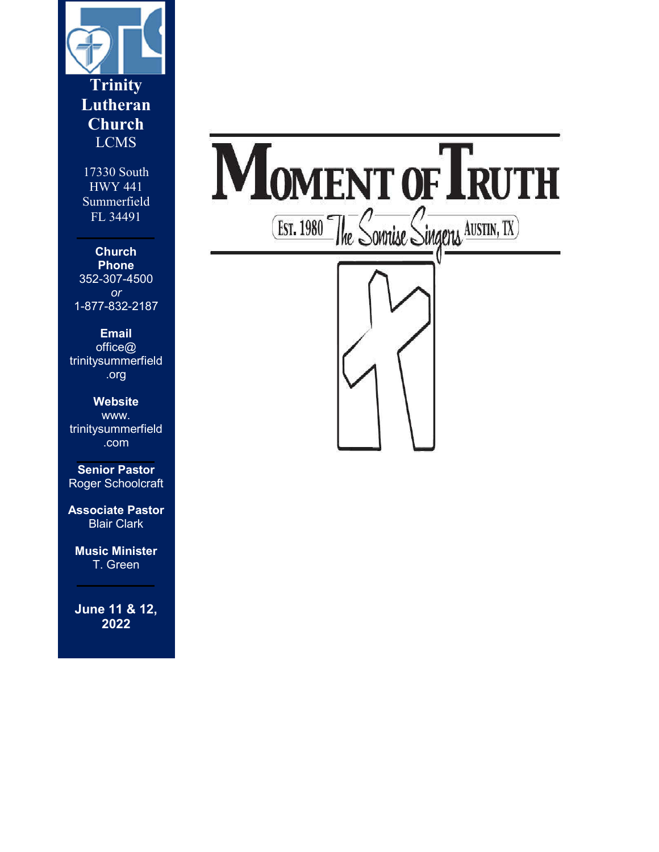` **Trinity Lutheran Church** LCMS

17330 South HWY 441 Summerfield FL 34491

**Church Phone** 352 -307 -4500 *or* 1 -877 -832 -2187

**Email** office@ trinitysummerfield .org

**Website** www. trinitysummerfield .com

**Senior Pastor** Roger Schoolcraft

**Associate Pastor** Blair Clark

**Music Minister** T. Green

**June 11 & 12, 2022**

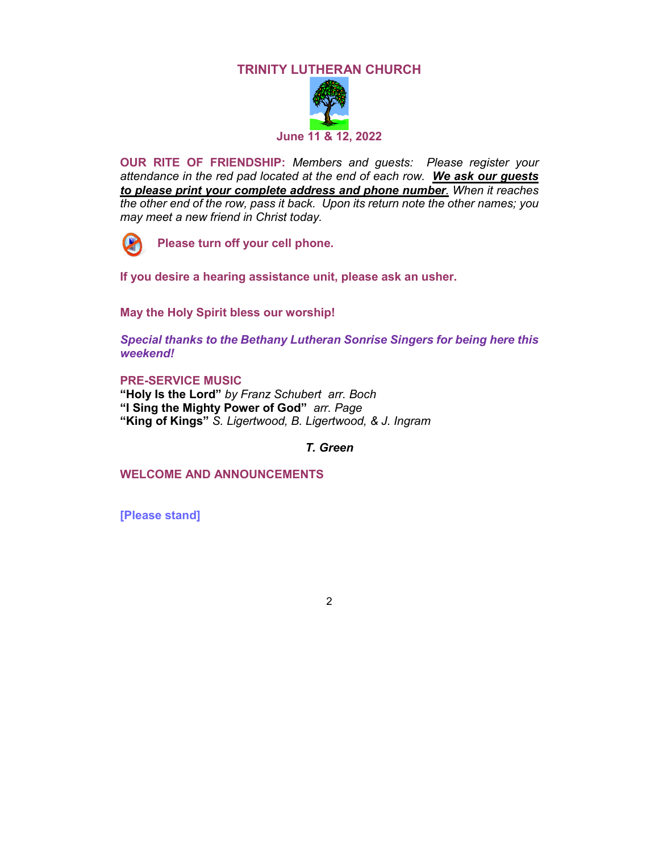## **TRINITY LUTHERAN CHURCH**



**OUR RITE OF FRIENDSHIP:** *Members and guests: Please register your attendance in the red pad located at the end of each row. We ask our guests to please print your complete address and phone number. When it reaches the other end of the row, pass it back. Upon its return note the other names; you may meet a new friend in Christ today.* 



**Please turn off your cell phone.** 

**If you desire a hearing assistance unit, please ask an usher.**

**May the Holy Spirit bless our worship!**

*Special thanks to the Bethany Lutheran Sonrise Singers for being here this weekend!*

**PRE-SERVICE MUSIC "Holy Is the Lord"** *by Franz Schubert arr. Boch* **"I Sing the Mighty Power of God"** *arr. Page* **"King of Kings"** *S. Ligertwood, B. Ligertwood, & J. Ingram*

*T. Green*

**WELCOME AND ANNOUNCEMENTS**

**[Please stand]**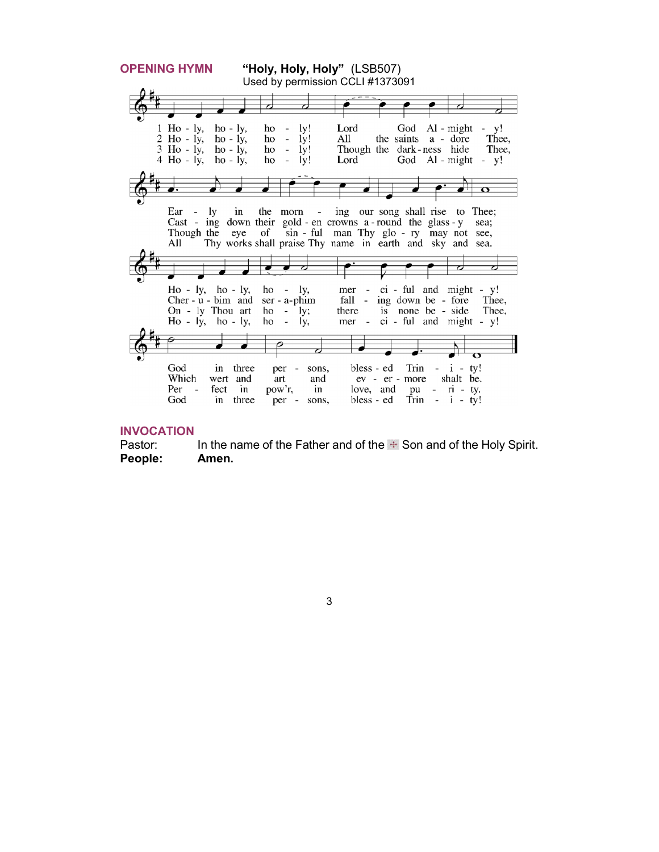**OPENING HYMN "Holy, Holy, Holy"** (LSB507) Used by permission CCLI #1373091  $\begin{array}{c} 1 \text{ Ho} - \text{ly}, \\ 2 \text{ Ho} - \text{ly}, \end{array}$  $ho - ly$ ,<br> $ho - ly$ , God Al - might ho  $-$  ly! Lord  $\mathbf{v}!$  $-1y!$ Thee, ho All the saints a - dore  $3$  Ho - ly, ho - ly,  $ho - iy!$ Though the dark-ness hide Thee, 4 Ho -  $1y$ , ho -  $1y$ , ho  $-$  ly! Lord God Al - might - y! ing our song shall rise to Thee; Ear  $\pm$ <sub>1</sub>y in the morn -Cast - ing down their gold - en crowns a - round the glass - y sea; eye of sin - ful man Thy glo - ry may not see, Though the Thy works shall praise Thy name in earth and sky and sea. All  $\overline{\phantom{a}}$  $\overline{\phantom{a}}$  $\overline{\phantom{a}}$ mer - ci - ful and might<br>fall - ing down be - fore<br>there is none be - side<br>mer - ci - ful and might ci - ful and might - y!<br>ing down be - fore Thee,  $Ho - ly, ho - ly,$  $ho - ly$ , Cher -  $u$  -  $b$ im and ser - a-phim On - ly Thou art there  $ho - ly;$ Thee,  $Ho - Iy$ , ho - ly,  $ho - iy$ , mer - ci - ful and might - y! 6 God  $- i - ty!$ bless - ed Trin in three per sons, Which ev - er - more shalt be. wert and art and Per fect in love, and  $pu - ri - ty.$ pow'r, in  $Trin - i - ty!$ God in three per - sons, bless - ed

#### **INVOCATION**

Pastor: In the name of the Father and of the  $\pm$  Son and of the Holy Spirit. **People: Amen.**

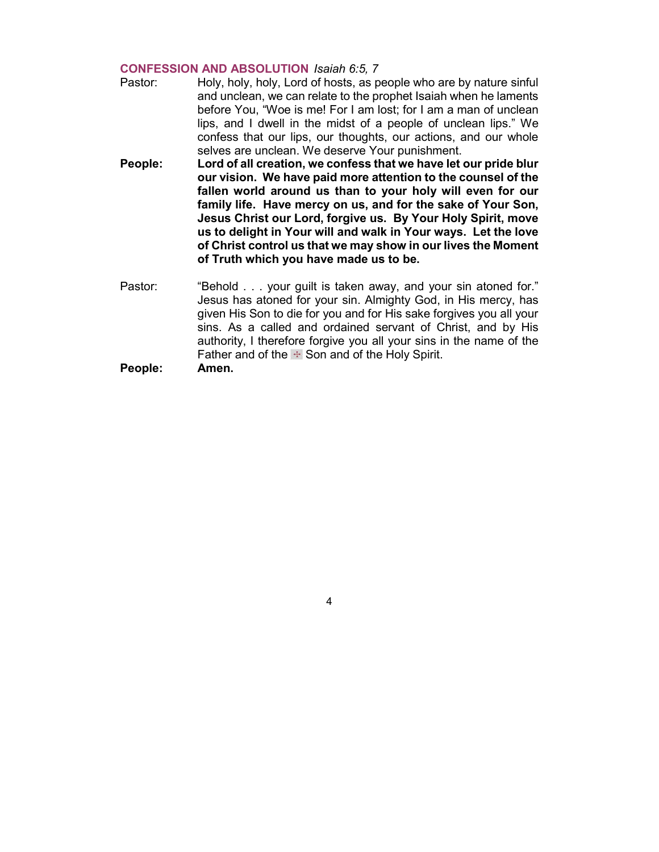#### **CONFESSION AND ABSOLUTION** *Isaiah 6:5, 7*

- Pastor: Holy, holy, holy, Lord of hosts, as people who are by nature sinful and unclean, we can relate to the prophet Isaiah when he laments before You, "Woe is me! For I am lost; for I am a man of unclean lips, and I dwell in the midst of a people of unclean lips." We confess that our lips, our thoughts, our actions, and our whole selves are unclean. We deserve Your punishment.
- **People: Lord of all creation, we confess that we have let our pride blur our vision. We have paid more attention to the counsel of the fallen world around us than to your holy will even for our family life. Have mercy on us, and for the sake of Your Son, Jesus Christ our Lord, forgive us. By Your Holy Spirit, move us to delight in Your will and walk in Your ways. Let the love of Christ control us that we may show in our lives the Moment of Truth which you have made us to be.**
- Pastor: "Behold . . . your guilt is taken away, and your sin atoned for." Jesus has atoned for your sin. Almighty God, in His mercy, has given His Son to die for you and for His sake forgives you all your sins. As a called and ordained servant of Christ, and by His authority, I therefore forgive you all your sins in the name of the Father and of the  $\pm$  Son and of the Holy Spirit.

**People: Amen.**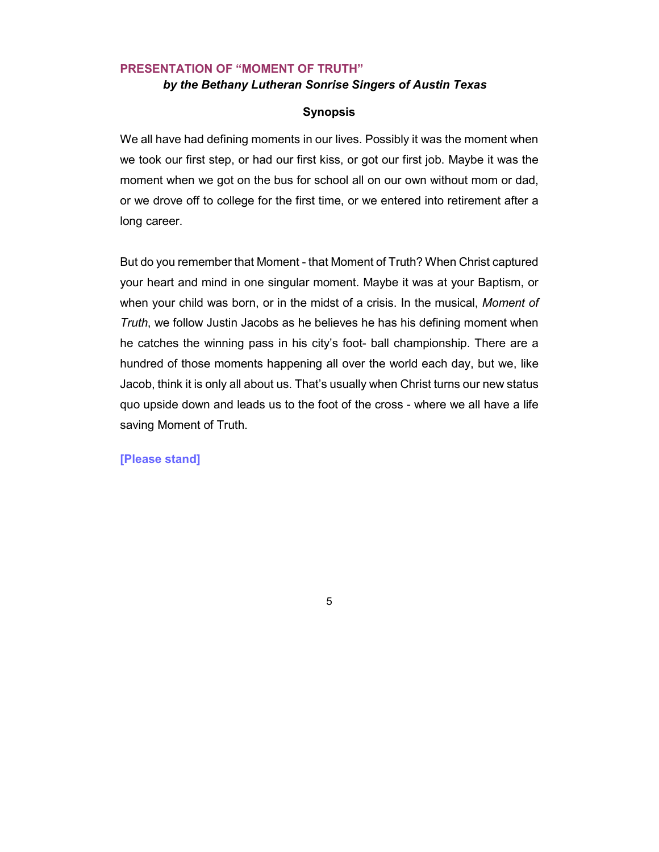# **PRESENTATION OF "MOMENT OF TRUTH"** *by the Bethany Lutheran Sonrise Singers of Austin Texas*

## **Synopsis**

We all have had defining moments in our lives. Possibly it was the moment when we took our first step, or had our first kiss, or got our first job. Maybe it was the moment when we got on the bus for school all on our own without mom or dad, or we drove off to college for the first time, or we entered into retirement after a long career.

But do you remember that Moment - that Moment of Truth? When Christ captured your heart and mind in one singular moment. Maybe it was at your Baptism, or when your child was born, or in the midst of a crisis. In the musical, *Moment of Truth*, we follow Justin Jacobs as he believes he has his defining moment when he catches the winning pass in his city's foot- ball championship. There are a hundred of those moments happening all over the world each day, but we, like Jacob, think it is only all about us. That's usually when Christ turns our new status quo upside down and leads us to the foot of the cross - where we all have a life saving Moment of Truth.

## **[Please stand]**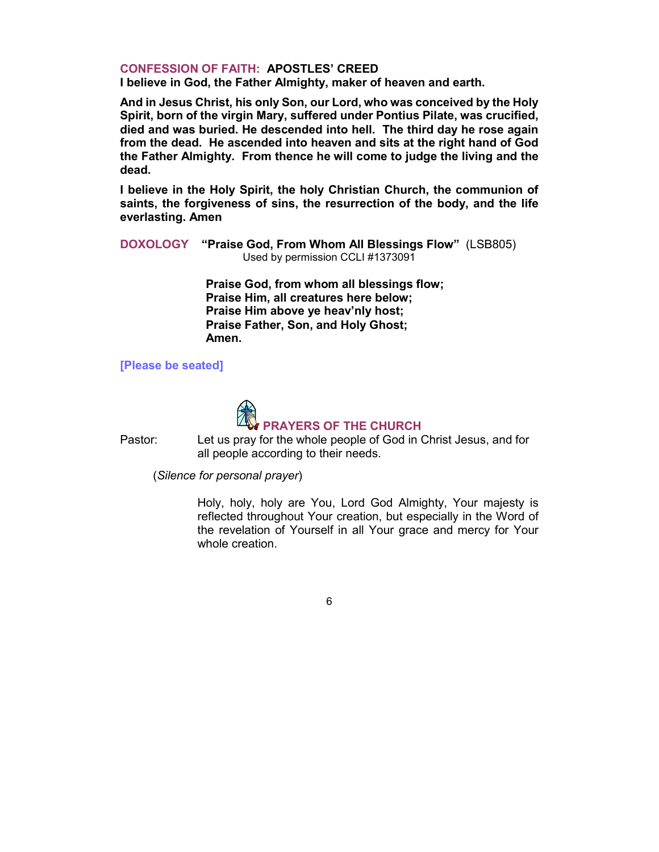**CONFESSION OF FAITH: APOSTLES' CREED**

**I believe in God, the Father Almighty, maker of heaven and earth.**

**And in Jesus Christ, his only Son, our Lord, who was conceived by the Holy Spirit, born of the virgin Mary, suffered under Pontius Pilate, was crucified, died and was buried. He descended into hell. The third day he rose again from the dead. He ascended into heaven and sits at the right hand of God the Father Almighty. From thence he will come to judge the living and the dead.**

**I believe in the Holy Spirit, the holy Christian Church, the communion of saints, the forgiveness of sins, the resurrection of the body, and the life everlasting. Amen**

**DOXOLOGY "Praise God, From Whom All Blessings Flow"** (LSB805) Used by permission CCLI #1373091

> **Praise God, from whom all blessings flow; Praise Him, all creatures here below; Praise Him above ye heav'nly host; Praise Father, Son, and Holy Ghost; Amen.**

**[Please be seated]**



Pastor: Let us pray for the whole people of God in Christ Jesus, and for all people according to their needs.

(*Silence for personal prayer*)

Holy, holy, holy are You, Lord God Almighty, Your majesty is reflected throughout Your creation, but especially in the Word of the revelation of Yourself in all Your grace and mercy for Your whole creation.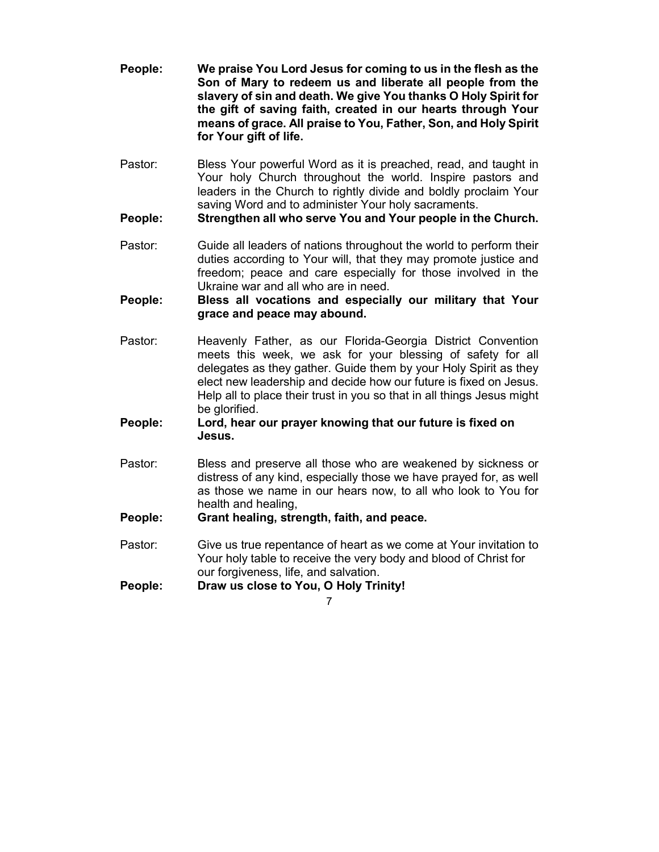- **People: We praise You Lord Jesus for coming to us in the flesh as the Son of Mary to redeem us and liberate all people from the slavery of sin and death. We give You thanks O Holy Spirit for the gift of saving faith, created in our hearts through Your means of grace. All praise to You, Father, Son, and Holy Spirit for Your gift of life.**
- Pastor: Bless Your powerful Word as it is preached, read, and taught in Your holy Church throughout the world. Inspire pastors and leaders in the Church to rightly divide and boldly proclaim Your saving Word and to administer Your holy sacraments.
- **People: Strengthen all who serve You and Your people in the Church.**
- Pastor: Guide all leaders of nations throughout the world to perform their duties according to Your will, that they may promote justice and freedom; peace and care especially for those involved in the Ukraine war and all who are in need.
- **People: Bless all vocations and especially our military that Your grace and peace may abound.**
- Pastor: Heavenly Father, as our Florida-Georgia District Convention meets this week, we ask for your blessing of safety for all delegates as they gather. Guide them by your Holy Spirit as they elect new leadership and decide how our future is fixed on Jesus. Help all to place their trust in you so that in all things Jesus might be glorified.
- **People: Lord, hear our prayer knowing that our future is fixed on Jesus.**
- Pastor: Bless and preserve all those who are weakened by sickness or distress of any kind, especially those we have prayed for, as well as those we name in our hears now, to all who look to You for health and healing,
- **People: Grant healing, strength, faith, and peace.**
- Pastor: Give us true repentance of heart as we come at Your invitation to Your holy table to receive the very body and blood of Christ for our forgiveness, life, and salvation.
- **People: Draw us close to You, O Holy Trinity!**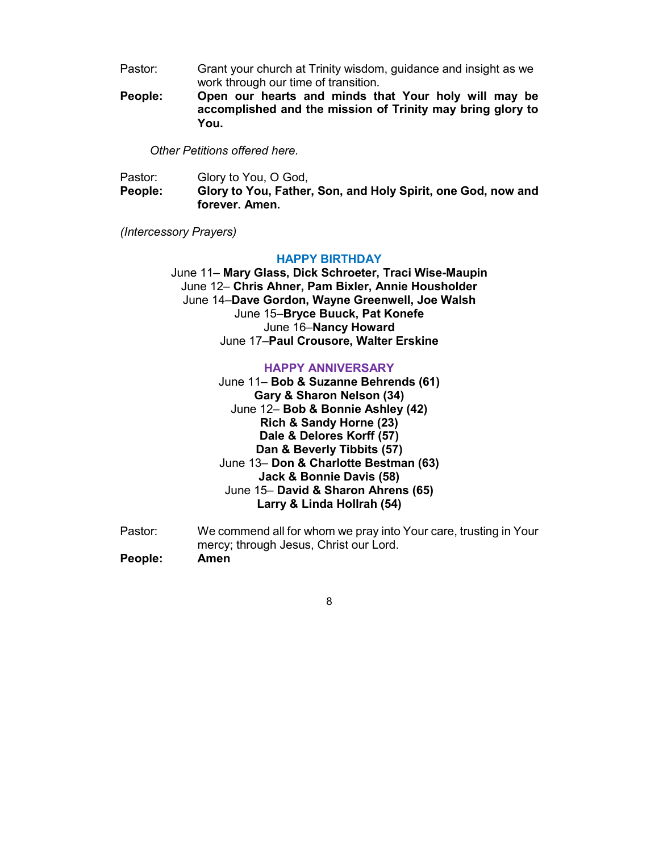- Pastor: Grant your church at Trinity wisdom, guidance and insight as we work through our time of transition.
- **People: Open our hearts and minds that Your holy will may be accomplished and the mission of Trinity may bring glory to You.**

*Other Petitions offered here.*

Pastor: Glory to You, O God, **People: Glory to You, Father, Son, and Holy Spirit, one God, now and forever. Amen.**

*(Intercessory Prayers)*

#### **HAPPY BIRTHDAY**

June 11– **Mary Glass, Dick Schroeter, Traci Wise-Maupin** June 12– **Chris Ahner, Pam Bixler, Annie Housholder** June 14–**Dave Gordon, Wayne Greenwell, Joe Walsh** June 15–**Bryce Buuck, Pat Konefe** June 16–**Nancy Howard** June 17–**Paul Crousore, Walter Erskine**

## **HAPPY ANNIVERSARY**

June 11– **Bob & Suzanne Behrends (61) Gary & Sharon Nelson (34)** June 12– **Bob & Bonnie Ashley (42) Rich & Sandy Horne (23) Dale & Delores Korff (57) Dan & Beverly Tibbits (57)** June 13– **Don & Charlotte Bestman (63) Jack & Bonnie Davis (58)** June 15– **David & Sharon Ahrens (65) Larry & Linda Hollrah (54)**

Pastor: We commend all for whom we pray into Your care, trusting in Your mercy; through Jesus, Christ our Lord.

**People: Amen**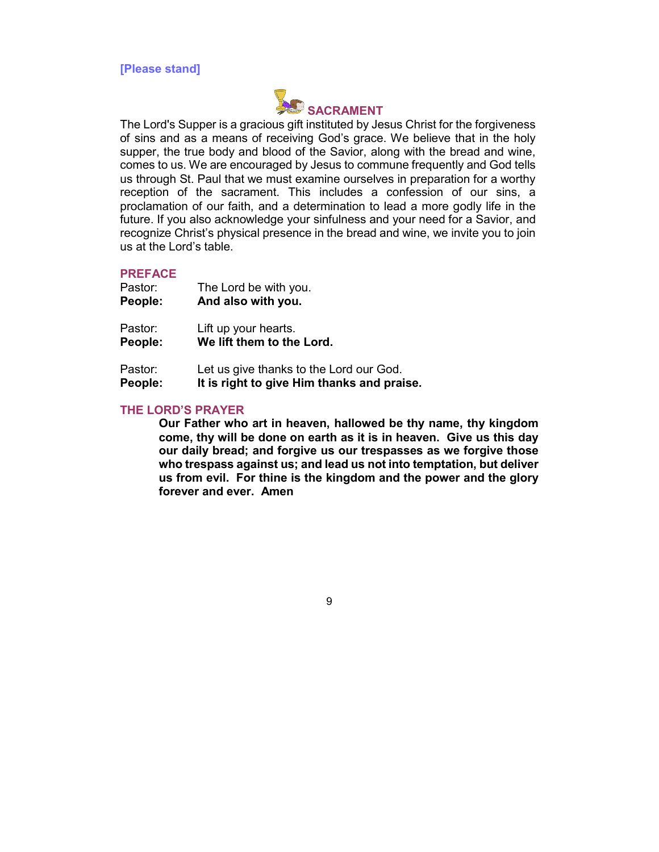#### **[Please stand]**



The Lord's Supper is a gracious gift instituted by Jesus Christ for the forgiveness of sins and as a means of receiving God's grace. We believe that in the holy supper, the true body and blood of the Savior, along with the bread and wine, comes to us. We are encouraged by Jesus to commune frequently and God tells us through St. Paul that we must examine ourselves in preparation for a worthy reception of the sacrament. This includes a confession of our sins, a proclamation of our faith, and a determination to lead a more godly life in the future. If you also acknowledge your sinfulness and your need for a Savior, and recognize Christ's physical presence in the bread and wine, we invite you to join us at the Lord's table.

## **PREFACE**

| Pastor: | The Lord be with you.                   |
|---------|-----------------------------------------|
| People: | And also with you.                      |
| Pastor: | Lift up your hearts.                    |
| People: | We lift them to the Lord.               |
| Pastor: | Let us give thanks to the Lord our God. |

**People: It is right to give Him thanks and praise.**

#### **THE LORD'S PRAYER**

**Our Father who art in heaven, hallowed be thy name, thy kingdom come, thy will be done on earth as it is in heaven. Give us this day our daily bread; and forgive us our trespasses as we forgive those who trespass against us; and lead us not into temptation, but deliver us from evil. For thine is the kingdom and the power and the glory forever and ever. Amen**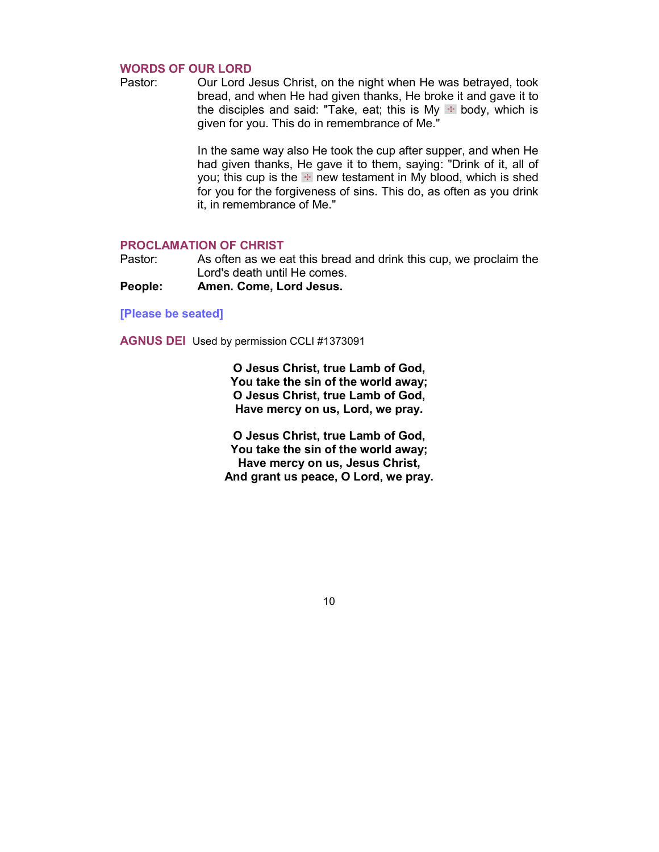#### **WORDS OF OUR LORD**

Pastor: Our Lord Jesus Christ, on the night when He was betrayed, took bread, and when He had given thanks, He broke it and gave it to the disciples and said: "Take, eat; this is My  $\pm$  body, which is given for you. This do in remembrance of Me."

> In the same way also He took the cup after supper, and when He had given thanks, He gave it to them, saying: "Drink of it, all of you; this cup is the  $\pm$  new testament in My blood, which is shed for you for the forgiveness of sins. This do, as often as you drink it, in remembrance of Me."

#### **PROCLAMATION OF CHRIST**

Pastor: As often as we eat this bread and drink this cup, we proclaim the Lord's death until He comes.

**People: Amen. Come, Lord Jesus.**

## **[Please be seated]**

**AGNUS DEI** Used by permission CCLI #1373091

**O Jesus Christ, true Lamb of God, You take the sin of the world away; O Jesus Christ, true Lamb of God, Have mercy on us, Lord, we pray.**

**O Jesus Christ, true Lamb of God, You take the sin of the world away; Have mercy on us, Jesus Christ, And grant us peace, O Lord, we pray.**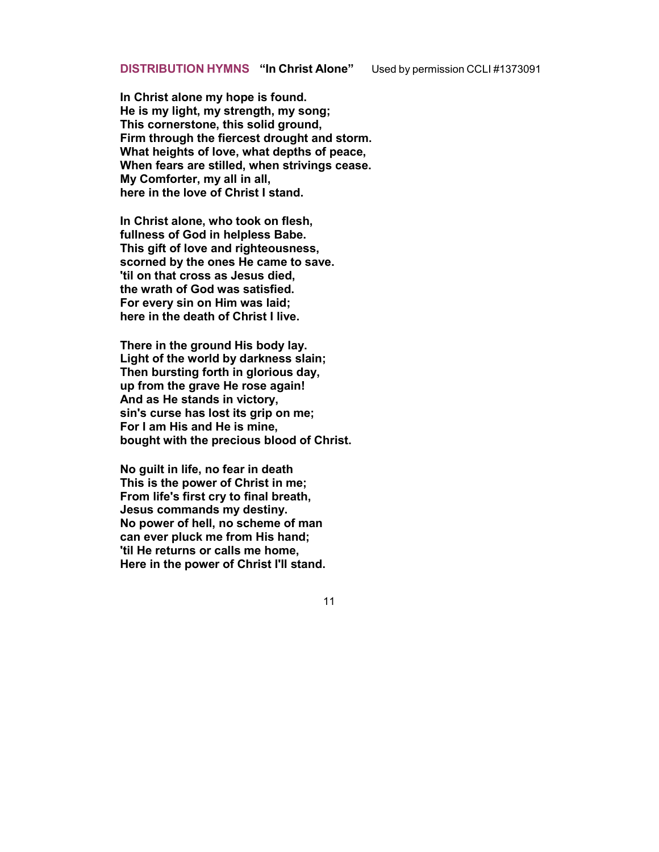#### **DISTRIBUTION HYMNS "In Christ Alone"** Used by permission CCLI #1373091

**In Christ alone my hope is found. He is my light, my strength, my song; This cornerstone, this solid ground, Firm through the fiercest drought and storm. What heights of love, what depths of peace, When fears are stilled, when strivings cease. My Comforter, my all in all, here in the love of Christ I stand.**

**In Christ alone, who took on flesh, fullness of God in helpless Babe. This gift of love and righteousness, scorned by the ones He came to save. 'til on that cross as Jesus died, the wrath of God was satisfied. For every sin on Him was laid; here in the death of Christ I live.**

**There in the ground His body lay. Light of the world by darkness slain; Then bursting forth in glorious day, up from the grave He rose again! And as He stands in victory, sin's curse has lost its grip on me; For I am His and He is mine, bought with the precious blood of Christ.**

**No guilt in life, no fear in death This is the power of Christ in me; From life's first cry to final breath, Jesus commands my destiny. No power of hell, no scheme of man can ever pluck me from His hand; 'til He returns or calls me home, Here in the power of Christ I'll stand.**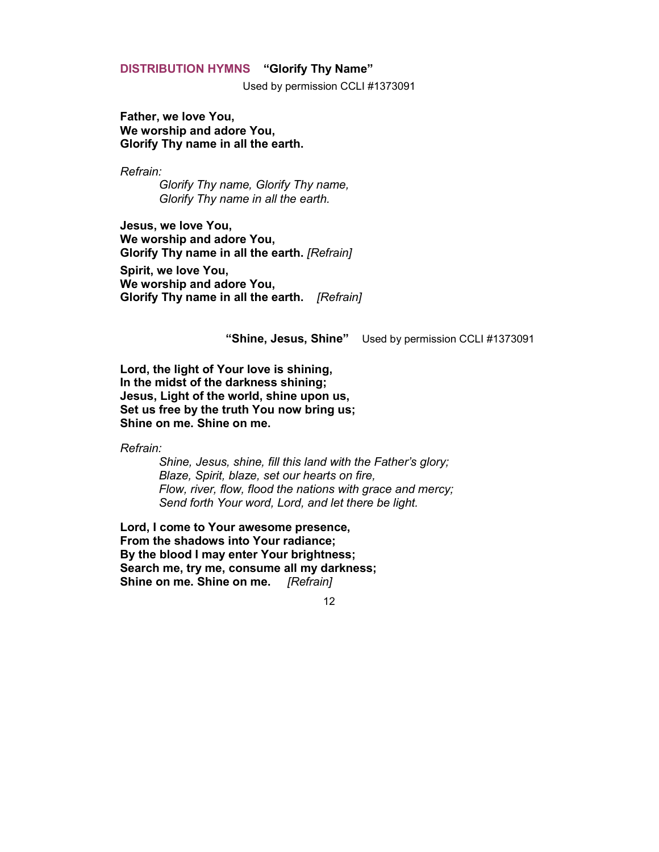#### **DISTRIBUTION HYMNS "Glorify Thy Name"**

Used by permission CCLI #1373091

**Father, we love You, We worship and adore You, Glorify Thy name in all the earth.**

*Refrain:* 

*Glorify Thy name, Glorify Thy name, Glorify Thy name in all the earth.*

**Jesus, we love You, We worship and adore You, Glorify Thy name in all the earth.** *[Refrain]* **Spirit, we love You, We worship and adore You, Glorify Thy name in all the earth.** *[Refrain]*

 **"Shine, Jesus, Shine"** Used by permission CCLI #1373091

**Lord, the light of Your love is shining, In the midst of the darkness shining; Jesus, Light of the world, shine upon us, Set us free by the truth You now bring us; Shine on me. Shine on me.** 

*Refrain:*

*Shine, Jesus, shine, fill this land with the Father's glory; Blaze, Spirit, blaze, set our hearts on fire, Flow, river, flow, flood the nations with grace and mercy; Send forth Your word, Lord, and let there be light.*

**Lord, I come to Your awesome presence, From the shadows into Your radiance; By the blood I may enter Your brightness; Search me, try me, consume all my darkness; Shine on me. Shine on me.** *[Refrain]*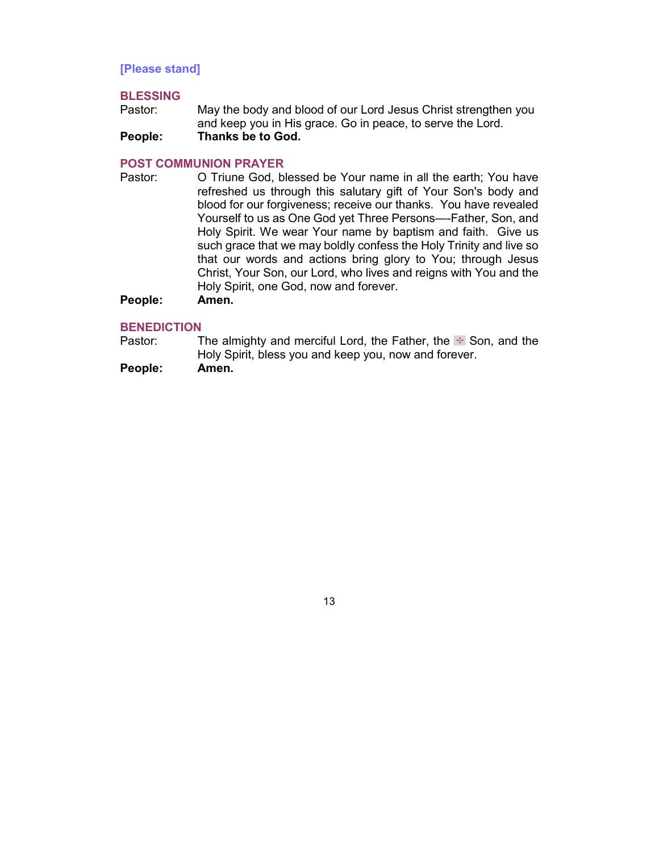#### **[Please stand]**

## **BLESSING**

Pastor: May the body and blood of our Lord Jesus Christ strengthen you and keep you in His grace. Go in peace, to serve the Lord. **People: Thanks be to God.**

## **POST COMMUNION PRAYER**

Pastor: O Triune God, blessed be Your name in all the earth; You have refreshed us through this salutary gift of Your Son's body and blood for our forgiveness; receive our thanks. You have revealed Yourself to us as One God yet Three Persons—-Father, Son, and Holy Spirit. We wear Your name by baptism and faith. Give us such grace that we may boldly confess the Holy Trinity and live so that our words and actions bring glory to You; through Jesus Christ, Your Son, our Lord, who lives and reigns with You and the Holy Spirit, one God, now and forever.

## **People: Amen.**

#### **BENEDICTION**

- Pastor: The almighty and merciful Lord, the Father, the  $\pm$  Son, and the Holy Spirit, bless you and keep you, now and forever.
- **People: Amen.**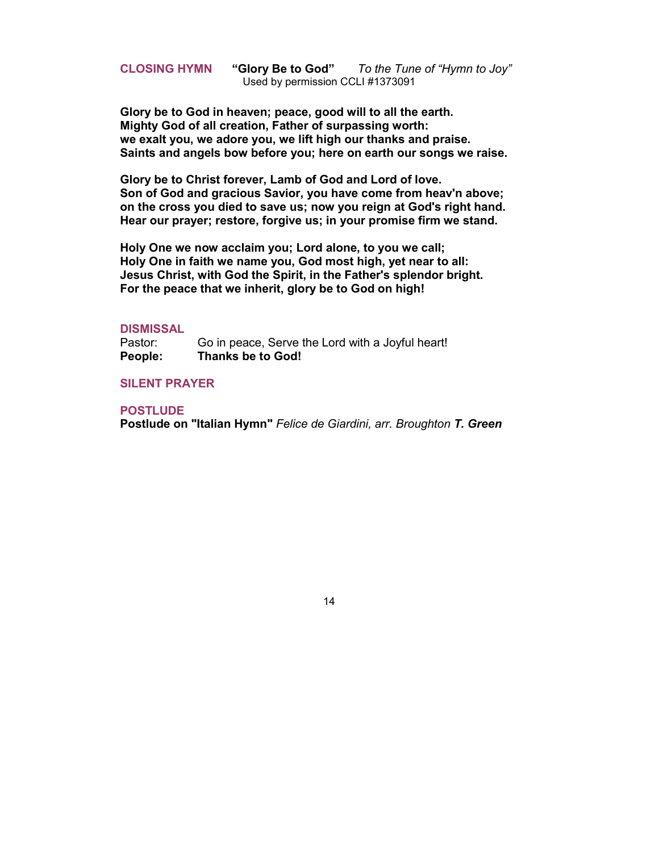**CLOSING HYMN "Glory Be to God"** *To the Tune of "Hymn to Joy"* Used by permission CCLI #1373091

**Glory be to God in heaven; peace, good will to all the earth. Mighty God of all creation, Father of surpassing worth: we exalt you, we adore you, we lift high our thanks and praise. Saints and angels bow before you; here on earth our songs we raise.**

**Glory be to Christ forever, Lamb of God and Lord of love. Son of God and gracious Savior, you have come from heav'n above; on the cross you died to save us; now you reign at God's right hand. Hear our prayer; restore, forgive us; in your promise firm we stand.**

**Holy One we now acclaim you; Lord alone, to you we call; Holy One in faith we name you, God most high, yet near to all: Jesus Christ, with God the Spirit, in the Father's splendor bright. For the peace that we inherit, glory be to God on high!**

#### **DISMISSAL**

Pastor: Go in peace, Serve the Lord with a Joyful heart!<br> **People:** Thanks be to God! **People: Thanks be to God!**

#### **SILENT PRAYER**

## **POSTLUDE**

**Postlude on "Italian Hymn"** *Felice de Giardini, arr. Broughton T. Green*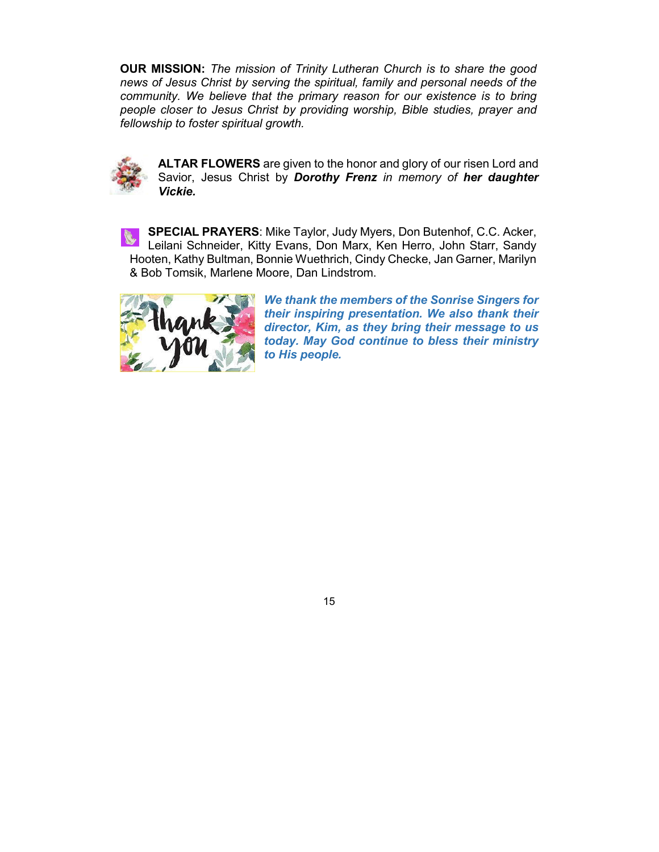**OUR MISSION:** *The mission of Trinity Lutheran Church is to share the good news of Jesus Christ by serving the spiritual, family and personal needs of the community. We believe that the primary reason for our existence is to bring people closer to Jesus Christ by providing worship, Bible studies, prayer and fellowship to foster spiritual growth.*



**ALTAR FLOWERS** are given to the honor and glory of our risen Lord and Savior, Jesus Christ by *Dorothy Frenz in memory of her daughter Vickie.*

**SPECIAL PRAYERS**: Mike Taylor, Judy Myers, Don Butenhof, C.C. Acker, Leilani Schneider, Kitty Evans, Don Marx, Ken Herro, John Starr, Sandy Hooten, Kathy Bultman, Bonnie Wuethrich, Cindy Checke, Jan Garner, Marilyn & Bob Tomsik, Marlene Moore, Dan Lindstrom.



*We thank the members of the Sonrise Singers for their inspiring presentation. We also thank their director, Kim, as they bring their message to us today. May God continue to bless their ministry to His people.*